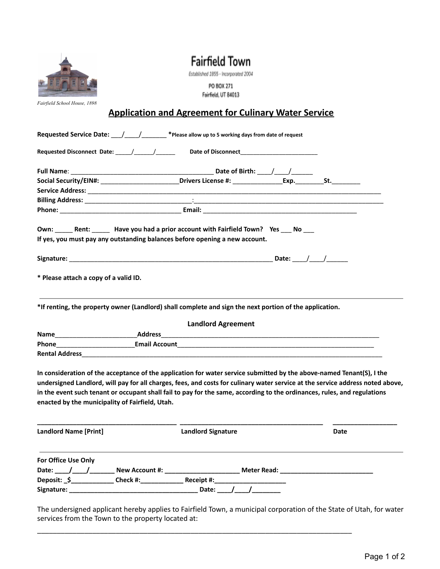**Fairfield Town** 

Established 1855 - Incorporated 2004

PO BOX 271 Fairfield, UT 84013

*Fairfield School House, 1898*

## **Application and Agreement for Culinary Water Service**

|                                                 | Social Security/EIN#: Social Security/EIN#: Social Security/EIN#: St.                                                                                                                                                                                                                                                                                                               |      |
|-------------------------------------------------|-------------------------------------------------------------------------------------------------------------------------------------------------------------------------------------------------------------------------------------------------------------------------------------------------------------------------------------------------------------------------------------|------|
|                                                 |                                                                                                                                                                                                                                                                                                                                                                                     |      |
|                                                 |                                                                                                                                                                                                                                                                                                                                                                                     |      |
|                                                 |                                                                                                                                                                                                                                                                                                                                                                                     |      |
|                                                 | Own: Rent: Have you had a prior account with Fairfield Town? Yes No<br>If yes, you must pay any outstanding balances before opening a new account.                                                                                                                                                                                                                                  |      |
|                                                 |                                                                                                                                                                                                                                                                                                                                                                                     |      |
| * Please attach a copy of a valid ID.           |                                                                                                                                                                                                                                                                                                                                                                                     |      |
|                                                 | *If renting, the property owner (Landlord) shall complete and sign the next portion of the application.                                                                                                                                                                                                                                                                             |      |
|                                                 | <b>Landlord Agreement</b>                                                                                                                                                                                                                                                                                                                                                           |      |
|                                                 |                                                                                                                                                                                                                                                                                                                                                                                     |      |
|                                                 |                                                                                                                                                                                                                                                                                                                                                                                     |      |
|                                                 | Rental Address and the contract of the contract of the contract of the contract of the contract of the contract of the contract of the contract of the contract of the contract of the contract of the contract of the contrac                                                                                                                                                      |      |
| enacted by the municipality of Fairfield, Utah. | In consideration of the acceptance of the application for water service submitted by the above-named Tenant(S), I the<br>undersigned Landlord, will pay for all charges, fees, and costs for culinary water service at the service address noted above,<br>in the event such tenant or occupant shall fail to pay for the same, according to the ordinances, rules, and regulations |      |
| <b>Landlord Name [Print]</b>                    | <b>Landlord Signature</b>                                                                                                                                                                                                                                                                                                                                                           | Date |

| For Office Use Only |                       |            |                    |  |
|---------------------|-----------------------|------------|--------------------|--|
| Date:               | <b>New Account #:</b> |            | <b>Meter Read:</b> |  |
| Deposit: _\$_       | Check #:              | Receipt #: |                    |  |
| Signature:          |                       | Date:      |                    |  |

The undersigned applicant hereby applies to Fairfield Town, a municipal corporation of the State of Utah, for water services from the Town to the property located at:

\_\_\_\_\_\_\_\_\_\_\_\_\_\_\_\_\_\_\_\_\_\_\_\_\_\_\_\_\_\_\_\_\_\_\_\_\_\_\_\_\_\_\_\_\_\_\_\_\_\_\_\_\_\_\_\_\_\_\_\_\_\_\_\_\_\_\_\_\_\_\_\_\_\_\_\_\_\_\_\_